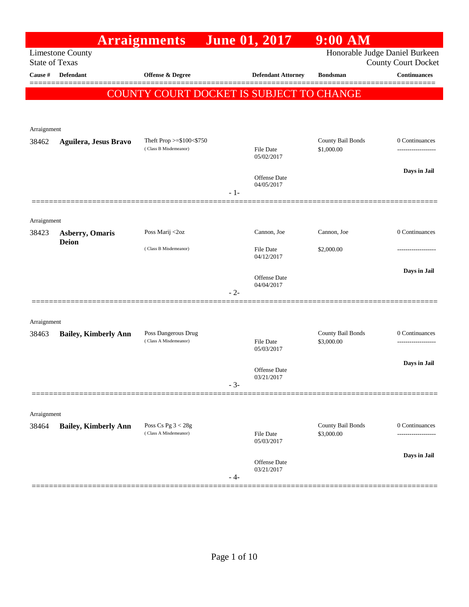|                                  |                                        | <b>Arraignments</b>                          |       | <b>June 01, 2017</b>              | $9:00$ AM                       |                                                   |
|----------------------------------|----------------------------------------|----------------------------------------------|-------|-----------------------------------|---------------------------------|---------------------------------------------------|
|                                  | <b>Limestone County</b>                |                                              |       |                                   |                                 | Honorable Judge Daniel Burkeen                    |
| <b>State of Texas</b><br>Cause # | Defendant                              | Offense & Degree                             |       | <b>Defendant Attorney</b>         | <b>Bondsman</b>                 | <b>County Court Docket</b><br><b>Continuances</b> |
|                                  |                                        |                                              |       |                                   |                                 |                                                   |
|                                  |                                        | COUNTY COURT DOCKET IS SUBJECT TO CHANGE     |       |                                   |                                 |                                                   |
|                                  |                                        |                                              |       |                                   |                                 |                                                   |
| Arraignment                      |                                        |                                              |       |                                   |                                 |                                                   |
| 38462                            | Aguilera, Jesus Bravo                  | Theft Prop $>= $100 < $750$                  |       |                                   | County Bail Bonds               | 0 Continuances                                    |
|                                  |                                        | (Class B Misdemeanor)                        |       | <b>File Date</b><br>05/02/2017    | \$1,000.00                      | -----------------                                 |
|                                  |                                        |                                              |       |                                   |                                 | Days in Jail                                      |
|                                  |                                        |                                              |       | Offense Date<br>04/05/2017        |                                 |                                                   |
|                                  |                                        |                                              | $-1-$ |                                   |                                 |                                                   |
|                                  |                                        |                                              |       |                                   |                                 |                                                   |
| Arraignment                      |                                        |                                              |       |                                   |                                 |                                                   |
| 38423                            | <b>Asberry, Omaris</b><br><b>Deion</b> | Poss Marij <2oz                              |       | Cannon, Joe                       | Cannon, Joe                     | 0 Continuances                                    |
|                                  |                                        | (Class B Misdemeanor)                        |       | File Date<br>04/12/2017           | \$2,000.00                      |                                                   |
|                                  |                                        |                                              |       |                                   |                                 | Days in Jail                                      |
|                                  |                                        |                                              |       | Offense Date<br>04/04/2017        |                                 |                                                   |
|                                  |                                        |                                              | $-2-$ |                                   |                                 |                                                   |
|                                  |                                        |                                              |       |                                   |                                 |                                                   |
| Arraignment                      |                                        |                                              |       |                                   |                                 |                                                   |
| 38463                            | <b>Bailey, Kimberly Ann</b>            | Poss Dangerous Drug<br>(Class A Misdemeanor) |       | <b>File Date</b>                  | County Bail Bonds<br>\$3,000.00 | 0 Continuances                                    |
|                                  |                                        |                                              |       | 05/03/2017                        |                                 |                                                   |
|                                  |                                        |                                              |       | Offense Date                      |                                 | Days in Jail                                      |
|                                  |                                        |                                              | $-3-$ | 03/21/2017                        |                                 |                                                   |
|                                  |                                        |                                              |       |                                   |                                 |                                                   |
| Arraignment                      |                                        |                                              |       |                                   |                                 |                                                   |
| 38464                            | <b>Bailey, Kimberly Ann</b>            | Poss Cs Pg $3 < 28g$                         |       |                                   | County Bail Bonds               | 0 Continuances                                    |
|                                  |                                        | (Class A Misdemeanor)                        |       | File Date<br>05/03/2017           | \$3,000.00                      | ------------------                                |
|                                  |                                        |                                              |       |                                   |                                 | Days in Jail                                      |
|                                  |                                        |                                              |       | <b>Offense Date</b><br>03/21/2017 |                                 |                                                   |
|                                  |                                        |                                              | - 4-  |                                   |                                 |                                                   |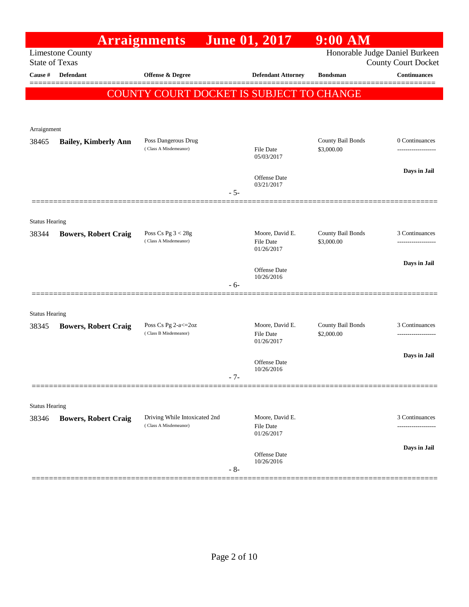|                       |                                                  | <b>Arraignments</b>                                    |       | <b>June 01, 2017</b>                | $9:00$ AM                       |                                                              |
|-----------------------|--------------------------------------------------|--------------------------------------------------------|-------|-------------------------------------|---------------------------------|--------------------------------------------------------------|
|                       | <b>Limestone County</b><br><b>State of Texas</b> |                                                        |       |                                     |                                 | Honorable Judge Daniel Burkeen<br><b>County Court Docket</b> |
| Cause #               | Defendant                                        | Offense & Degree                                       |       | <b>Defendant Attorney</b>           | <b>Bondsman</b>                 | <b>Continuances</b>                                          |
|                       |                                                  | COUNTY COURT DOCKET IS SUBJECT TO CHANGE               |       |                                     |                                 |                                                              |
|                       |                                                  |                                                        |       |                                     |                                 |                                                              |
|                       |                                                  |                                                        |       |                                     |                                 |                                                              |
| Arraignment<br>38465  | <b>Bailey, Kimberly Ann</b>                      | Poss Dangerous Drug                                    |       |                                     | County Bail Bonds               | 0 Continuances                                               |
|                       |                                                  | (Class A Misdemeanor)                                  |       | <b>File Date</b><br>05/03/2017      | \$3,000.00                      |                                                              |
|                       |                                                  |                                                        |       |                                     |                                 | Days in Jail                                                 |
|                       |                                                  |                                                        |       | <b>Offense Date</b><br>03/21/2017   |                                 |                                                              |
|                       |                                                  |                                                        | $-5-$ |                                     |                                 |                                                              |
|                       |                                                  |                                                        |       |                                     |                                 |                                                              |
| <b>Status Hearing</b> |                                                  | Poss Cs Pg $3 < 28g$                                   |       | Moore, David E.                     | County Bail Bonds               | 3 Continuances                                               |
| 38344                 | <b>Bowers, Robert Craig</b>                      | (Class A Misdemeanor)                                  |       | File Date                           | \$3,000.00                      | -------------------                                          |
|                       |                                                  |                                                        |       | 01/26/2017                          |                                 | Days in Jail                                                 |
|                       |                                                  |                                                        |       | <b>Offense Date</b><br>10/26/2016   |                                 |                                                              |
|                       |                                                  |                                                        | $-6-$ |                                     |                                 |                                                              |
|                       |                                                  |                                                        |       |                                     |                                 |                                                              |
| <b>Status Hearing</b> |                                                  |                                                        |       |                                     |                                 |                                                              |
| 38345                 | <b>Bowers, Robert Craig</b>                      | Poss Cs Pg 2-a <= 20z<br>(Class B Misdemeanor)         |       | Moore, David E.<br>File Date        | County Bail Bonds<br>\$2,000.00 | 3 Continuances<br>------------------                         |
|                       |                                                  |                                                        |       | 01/26/2017                          |                                 |                                                              |
|                       |                                                  |                                                        |       | Offense Date<br>10/26/2016          |                                 | Days in Jail                                                 |
|                       |                                                  |                                                        | $-7-$ |                                     |                                 |                                                              |
|                       |                                                  |                                                        |       |                                     |                                 |                                                              |
| <b>Status Hearing</b> |                                                  |                                                        |       |                                     |                                 |                                                              |
| 38346                 | <b>Bowers, Robert Craig</b>                      | Driving While Intoxicated 2nd<br>(Class A Misdemeanor) |       | Moore, David E.<br><b>File Date</b> |                                 | 3 Continuances                                               |
|                       |                                                  |                                                        |       | 01/26/2017                          |                                 |                                                              |
|                       |                                                  |                                                        |       | Offense Date                        |                                 | Days in Jail                                                 |
|                       |                                                  |                                                        | $-8-$ | 10/26/2016                          |                                 |                                                              |
|                       |                                                  |                                                        |       |                                     |                                 |                                                              |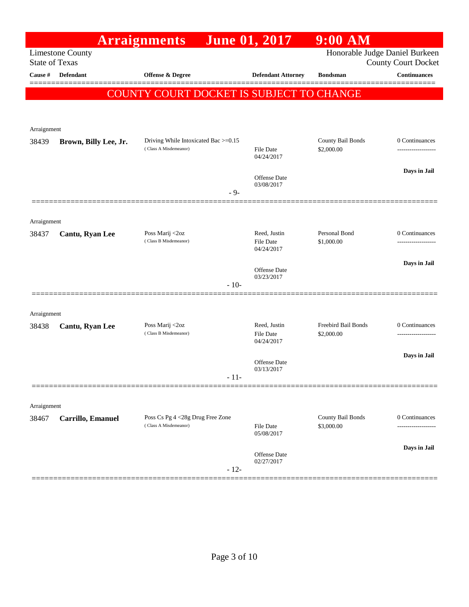|                       |                         | <b>Arraignments</b>                                       | June 01, 2017                  | $9:00$ AM                       |                                                              |
|-----------------------|-------------------------|-----------------------------------------------------------|--------------------------------|---------------------------------|--------------------------------------------------------------|
| <b>State of Texas</b> | <b>Limestone County</b> |                                                           |                                |                                 | Honorable Judge Daniel Burkeen<br><b>County Court Docket</b> |
| Cause #               | Defendant               | <b>Offense &amp; Degree</b>                               | <b>Defendant Attorney</b>      | <b>Bondsman</b>                 | <b>Continuances</b>                                          |
|                       |                         | COUNTY COURT DOCKET IS SUBJECT TO CHANGE                  |                                |                                 | ======                                                       |
|                       |                         |                                                           |                                |                                 |                                                              |
|                       |                         |                                                           |                                |                                 |                                                              |
| Arraignment           |                         | Driving While Intoxicated Bac >=0.15                      |                                | County Bail Bonds               | 0 Continuances                                               |
| 38439                 | Brown, Billy Lee, Jr.   | (Class A Misdemeanor)                                     | File Date                      | \$2,000.00                      |                                                              |
|                       |                         |                                                           | 04/24/2017                     |                                 |                                                              |
|                       |                         |                                                           | Offense Date                   |                                 | Days in Jail                                                 |
|                       |                         | $-9-$                                                     | 03/08/2017                     |                                 |                                                              |
|                       |                         |                                                           |                                |                                 |                                                              |
| Arraignment           |                         |                                                           |                                |                                 |                                                              |
| 38437                 | Cantu, Ryan Lee         | Poss Marij <2oz<br>(Class B Misdemeanor)                  | Reed, Justin                   | Personal Bond                   | 0 Continuances                                               |
|                       |                         |                                                           | <b>File Date</b><br>04/24/2017 | \$1,000.00                      |                                                              |
|                       |                         |                                                           | Offense Date                   |                                 | Days in Jail                                                 |
|                       |                         |                                                           | 03/23/2017                     |                                 |                                                              |
|                       |                         | $-10-$                                                    |                                |                                 |                                                              |
| Arraignment           |                         |                                                           |                                |                                 |                                                              |
| 38438                 | Cantu, Ryan Lee         | Poss Marij <2oz                                           | Reed, Justin                   | Freebird Bail Bonds             | 0 Continuances                                               |
|                       |                         | (Class B Misdemeanor)                                     | <b>File Date</b><br>04/24/2017 | \$2,000.00                      |                                                              |
|                       |                         |                                                           |                                |                                 | Days in Jail                                                 |
|                       |                         |                                                           | Offense Date<br>03/13/2017     |                                 |                                                              |
|                       |                         | - 11-                                                     |                                |                                 |                                                              |
|                       |                         |                                                           |                                |                                 |                                                              |
| Arraignment           |                         |                                                           |                                |                                 |                                                              |
| 38467                 | Carrillo, Emanuel       | Poss Cs Pg 4 <28g Drug Free Zone<br>(Class A Misdemeanor) | <b>File Date</b>               | County Bail Bonds<br>\$3,000.00 | 0 Continuances                                               |
|                       |                         |                                                           | 05/08/2017                     |                                 |                                                              |
|                       |                         |                                                           | Offense Date                   |                                 | Days in Jail                                                 |
|                       |                         | $-12-$                                                    | 02/27/2017                     |                                 |                                                              |
|                       |                         |                                                           |                                |                                 |                                                              |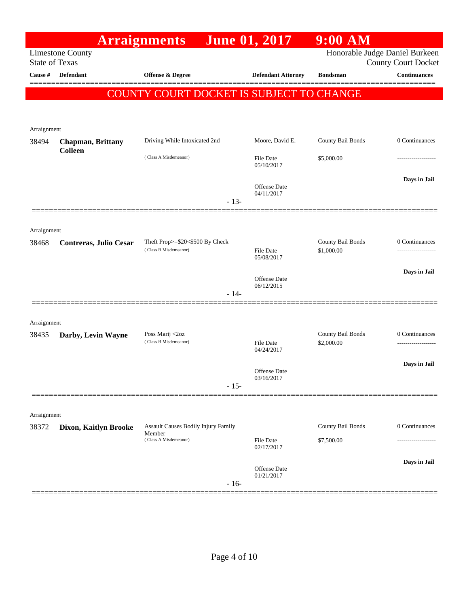|                       |                           | <b>Arraignments</b>                                  | <b>June 01, 2017</b>              | $9:00$ AM                       |                                     |
|-----------------------|---------------------------|------------------------------------------------------|-----------------------------------|---------------------------------|-------------------------------------|
| <b>State of Texas</b> | <b>Limestone County</b>   |                                                      |                                   | Honorable Judge Daniel Burkeen  | <b>County Court Docket</b>          |
| Cause #               | <b>Defendant</b>          | <b>Offense &amp; Degree</b>                          | <b>Defendant Attorney</b>         | <b>Bondsman</b>                 | <b>Continuances</b>                 |
|                       |                           |                                                      |                                   |                                 |                                     |
|                       |                           | COUNTY COURT DOCKET IS SUBJECT TO CHANGE             |                                   |                                 |                                     |
|                       |                           |                                                      |                                   |                                 |                                     |
| Arraignment           |                           |                                                      |                                   |                                 |                                     |
| 38494                 | <b>Chapman</b> , Brittany | Driving While Intoxicated 2nd                        | Moore, David E.                   | County Bail Bonds               | 0 Continuances                      |
|                       | <b>Colleen</b>            | (Class A Misdemeanor)                                | File Date<br>05/10/2017           | \$5,000.00                      |                                     |
|                       |                           |                                                      | Offense Date<br>04/11/2017        |                                 | Days in Jail                        |
|                       |                           | $-13-$                                               |                                   |                                 |                                     |
|                       |                           |                                                      |                                   |                                 |                                     |
| Arraignment<br>38468  | Contreras, Julio Cesar    | Theft Prop>=\$20<\$500 By Check                      |                                   | County Bail Bonds               | 0 Continuances                      |
|                       |                           | (Class B Misdemeanor)                                | File Date<br>05/08/2017           | \$1,000.00                      |                                     |
|                       |                           |                                                      |                                   |                                 | Days in Jail                        |
|                       |                           |                                                      | <b>Offense</b> Date<br>06/12/2015 |                                 |                                     |
|                       |                           | $-14-$                                               |                                   |                                 |                                     |
|                       |                           |                                                      |                                   |                                 |                                     |
| Arraignment           |                           |                                                      |                                   |                                 |                                     |
| 38435                 | Darby, Levin Wayne        | Poss Marij <2oz<br>(Class B Misdemeanor)             | <b>File Date</b>                  | County Bail Bonds<br>\$2,000.00 | 0 Continuances<br>----------------- |
|                       |                           |                                                      | 04/24/2017                        |                                 |                                     |
|                       |                           |                                                      | <b>Offense</b> Date               |                                 | Days in Jail                        |
|                       |                           | $-15-$                                               | 03/16/2017                        |                                 |                                     |
|                       |                           |                                                      |                                   |                                 |                                     |
| Arraignment           |                           |                                                      |                                   |                                 |                                     |
| 38372                 | Dixon, Kaitlyn Brooke     | <b>Assault Causes Bodily Injury Family</b><br>Member |                                   | County Bail Bonds               | 0 Continuances                      |
|                       |                           | (Class A Misdemeanor)                                | File Date<br>02/17/2017           | \$7,500.00                      |                                     |
|                       |                           |                                                      |                                   |                                 | Days in Jail                        |
|                       |                           | $-16-$                                               | <b>Offense</b> Date<br>01/21/2017 |                                 |                                     |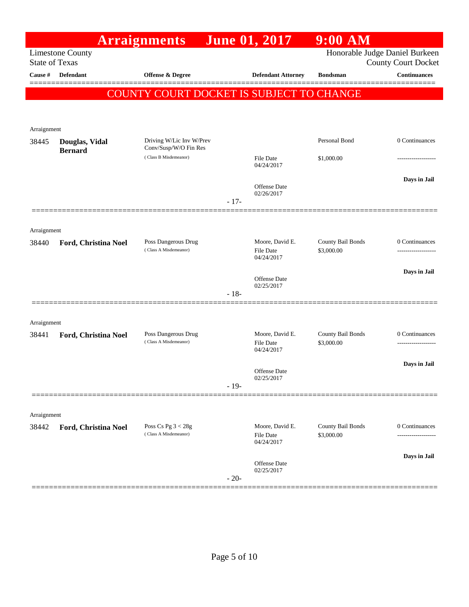|                       |                         | <b>Arraignments</b>                            |        | <b>June 01, 2017</b>                              | $9:00$ AM                       |                                                              |
|-----------------------|-------------------------|------------------------------------------------|--------|---------------------------------------------------|---------------------------------|--------------------------------------------------------------|
| <b>State of Texas</b> | <b>Limestone County</b> |                                                |        |                                                   |                                 | Honorable Judge Daniel Burkeen<br><b>County Court Docket</b> |
| Cause #               | <b>Defendant</b>        | Offense & Degree                               |        | <b>Defendant Attorney</b>                         | <b>Bondsman</b>                 | <b>Continuances</b>                                          |
|                       |                         | COUNTY COURT DOCKET IS SUBJECT TO CHANGE       |        |                                                   |                                 |                                                              |
|                       |                         |                                                |        |                                                   |                                 |                                                              |
| Arraignment           |                         |                                                |        |                                                   |                                 |                                                              |
| 38445                 | Douglas, Vidal          | Driving W/Lic Inv W/Prev                       |        |                                                   | Personal Bond                   | 0 Continuances                                               |
|                       | <b>Bernard</b>          | Conv/Susp/W/O Fin Res<br>(Class B Misdemeanor) |        | File Date<br>04/24/2017                           | \$1,000.00                      |                                                              |
|                       |                         |                                                |        |                                                   |                                 | Days in Jail                                                 |
|                       |                         |                                                |        | <b>Offense</b> Date<br>02/26/2017                 |                                 |                                                              |
|                       |                         |                                                | $-17-$ |                                                   |                                 |                                                              |
| Arraignment           |                         |                                                |        |                                                   |                                 |                                                              |
| 38440                 | Ford, Christina Noel    | Poss Dangerous Drug<br>(Class A Misdemeanor)   |        | Moore, David E.<br><b>File Date</b><br>04/24/2017 | County Bail Bonds<br>\$3,000.00 | 0 Continuances<br>.                                          |
|                       |                         |                                                |        |                                                   |                                 | Days in Jail                                                 |
|                       |                         |                                                |        | <b>Offense</b> Date<br>02/25/2017                 |                                 |                                                              |
|                       |                         |                                                | $-18-$ |                                                   |                                 |                                                              |
| Arraignment           |                         |                                                |        |                                                   |                                 |                                                              |
| 38441                 | Ford, Christina Noel    | Poss Dangerous Drug<br>(Class A Misdemeanor)   |        | Moore, David E.<br>File Date<br>04/24/2017        | County Bail Bonds<br>\$3,000.00 | 0 Continuances<br>-----------------                          |
|                       |                         |                                                |        |                                                   |                                 | Days in Jail                                                 |
|                       |                         |                                                |        | Offense Date<br>02/25/2017                        |                                 |                                                              |
|                       |                         |                                                | $-19-$ |                                                   |                                 |                                                              |
| Arraignment           |                         |                                                |        |                                                   |                                 |                                                              |
| 38442                 | Ford, Christina Noel    | Poss Cs Pg $3 < 28g$                           |        | Moore, David E.                                   | County Bail Bonds               | 0 Continuances                                               |
|                       |                         | (Class A Misdemeanor)                          |        | <b>File Date</b><br>04/24/2017                    | \$3,000.00                      | .                                                            |
|                       |                         |                                                |        | <b>Offense</b> Date<br>02/25/2017                 |                                 | Days in Jail                                                 |
|                       |                         |                                                | $-20-$ |                                                   |                                 |                                                              |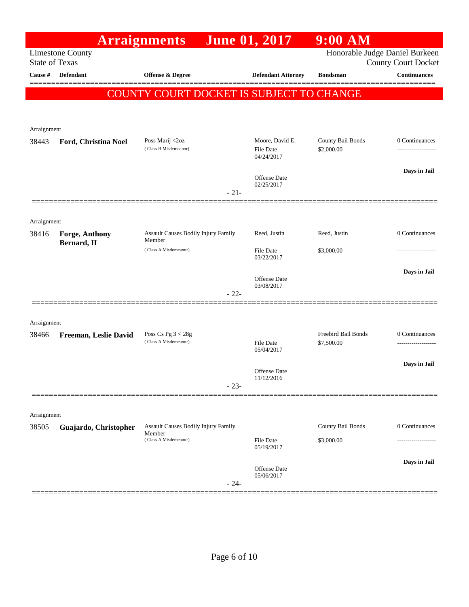|                       |                               | <b>Arraignments</b>                           |        | <b>June 01, 2017</b>           | $9:00$ AM                         |                            |
|-----------------------|-------------------------------|-----------------------------------------------|--------|--------------------------------|-----------------------------------|----------------------------|
| <b>State of Texas</b> | <b>Limestone County</b>       |                                               |        |                                | Honorable Judge Daniel Burkeen    | <b>County Court Docket</b> |
| Cause #               | <b>Defendant</b>              | <b>Offense &amp; Degree</b>                   |        | <b>Defendant Attorney</b>      | <b>Bondsman</b>                   | <b>Continuances</b>        |
|                       |                               | COUNTY COURT DOCKET IS SUBJECT TO CHANGE      |        |                                |                                   |                            |
|                       |                               |                                               |        |                                |                                   |                            |
| Arraignment           |                               |                                               |        |                                |                                   |                            |
| 38443                 | Ford, Christina Noel          | Poss Marij <2oz<br>(Class B Misdemeanor)      |        | Moore, David E.                | County Bail Bonds                 | 0 Continuances             |
|                       |                               |                                               |        | <b>File Date</b><br>04/24/2017 | \$2,000.00                        |                            |
|                       |                               |                                               |        | Offense Date                   |                                   | Days in Jail               |
|                       |                               |                                               | $-21-$ | 02/25/2017                     |                                   |                            |
|                       |                               |                                               |        |                                |                                   |                            |
| Arraignment           |                               |                                               |        |                                |                                   |                            |
| 38416                 | Forge, Anthony<br>Bernard, II | Assault Causes Bodily Injury Family<br>Member |        | Reed, Justin                   | Reed, Justin                      | 0 Continuances             |
|                       |                               | (Class A Misdemeanor)                         |        | <b>File Date</b><br>03/22/2017 | \$3,000.00                        | ----------------           |
|                       |                               |                                               |        | <b>Offense Date</b>            |                                   | Days in Jail               |
|                       |                               |                                               | $-22-$ | 03/08/2017                     |                                   |                            |
|                       |                               |                                               |        |                                |                                   |                            |
| Arraignment           |                               |                                               |        |                                |                                   |                            |
| 38466                 | Freeman, Leslie David         | Poss Cs Pg $3 < 28g$<br>(Class A Misdemeanor) |        | <b>File Date</b>               | Freebird Bail Bonds<br>\$7,500.00 | 0 Continuances             |
|                       |                               |                                               |        | 05/04/2017                     |                                   |                            |
|                       |                               |                                               |        | Offense Date<br>11/12/2016     |                                   | Days in Jail               |
|                       |                               |                                               | $-23-$ |                                |                                   |                            |
|                       |                               |                                               |        |                                |                                   |                            |
| Arraignment<br>38505  | Guajardo, Christopher         | <b>Assault Causes Bodily Injury Family</b>    |        |                                | County Bail Bonds                 | 0 Continuances             |
|                       |                               | Member<br>(Class A Misdemeanor)               |        | <b>File Date</b>               | \$3,000.00                        |                            |
|                       |                               |                                               |        | 05/19/2017                     |                                   |                            |
|                       |                               |                                               |        | Offense Date<br>05/06/2017     |                                   | Days in Jail               |
|                       |                               |                                               | $-24-$ |                                |                                   |                            |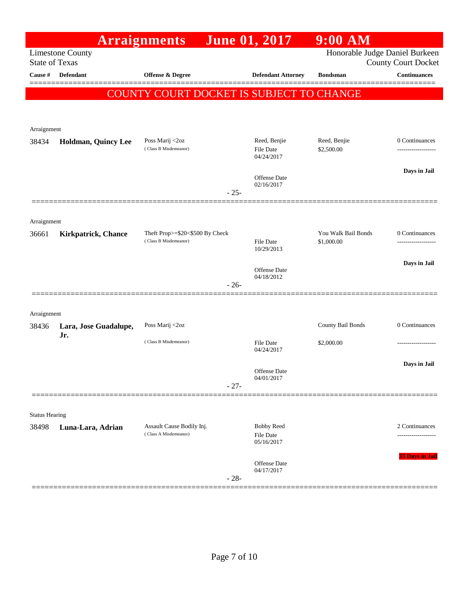|                       |                              | <b>Arraignments</b>                                |        | <b>June 01, 2017</b>                  | $9:00$ AM                      |                                                   |
|-----------------------|------------------------------|----------------------------------------------------|--------|---------------------------------------|--------------------------------|---------------------------------------------------|
| <b>State of Texas</b> | <b>Limestone County</b>      |                                                    |        |                                       | Honorable Judge Daniel Burkeen |                                                   |
| Cause #               | <b>Defendant</b>             | Offense & Degree                                   |        | <b>Defendant Attorney</b>             | <b>Bondsman</b>                | <b>County Court Docket</b><br><b>Continuances</b> |
|                       |                              |                                                    |        |                                       |                                |                                                   |
|                       |                              | COUNTY COURT DOCKET IS SUBJECT TO CHANGE           |        |                                       |                                |                                                   |
|                       |                              |                                                    |        |                                       |                                |                                                   |
| Arraignment           |                              |                                                    |        |                                       |                                |                                                   |
| 38434                 | Holdman, Quincy Lee          | Poss Marij <2oz<br>(Class B Misdemeanor)           |        | Reed, Benjie                          | Reed, Benjie                   | 0 Continuances                                    |
|                       |                              |                                                    |        | <b>File Date</b><br>04/24/2017        | \$2,500.00                     | ------------------                                |
|                       |                              |                                                    |        |                                       |                                | Days in Jail                                      |
|                       |                              |                                                    |        | Offense Date<br>02/16/2017            |                                |                                                   |
|                       |                              |                                                    | $-25-$ |                                       |                                |                                                   |
|                       |                              |                                                    |        |                                       |                                |                                                   |
| Arraignment<br>36661  | <b>Kirkpatrick, Chance</b>   | Theft Prop>=\$20<\$500 By Check                    |        |                                       | You Walk Bail Bonds            | 0 Continuances                                    |
|                       |                              | (Class B Misdemeanor)                              |        | <b>File Date</b><br>10/29/2013        | \$1,000.00                     | __________________                                |
|                       |                              |                                                    |        |                                       |                                | Days in Jail                                      |
|                       |                              |                                                    |        | <b>Offense</b> Date<br>04/18/2012     |                                |                                                   |
|                       |                              |                                                    | $-26-$ |                                       |                                |                                                   |
|                       |                              |                                                    |        |                                       |                                |                                                   |
| Arraignment           |                              |                                                    |        |                                       |                                |                                                   |
| 38436                 | Lara, Jose Guadalupe,<br>Jr. | Poss Marij <2oz                                    |        |                                       | County Bail Bonds              | 0 Continuances                                    |
|                       |                              | (Class B Misdemeanor)                              |        | <b>File Date</b><br>04/24/2017        | \$2,000.00                     |                                                   |
|                       |                              |                                                    |        |                                       |                                | Days in Jail                                      |
|                       |                              |                                                    |        | <b>Offense</b> Date<br>04/01/2017     |                                |                                                   |
|                       |                              |                                                    | $-27-$ |                                       |                                |                                                   |
|                       |                              |                                                    |        |                                       |                                |                                                   |
| <b>Status Hearing</b> |                              |                                                    |        |                                       |                                |                                                   |
| 38498                 | Luna-Lara, Adrian            | Assault Cause Bodily Inj.<br>(Class A Misdemeanor) |        | <b>Bobby Reed</b><br><b>File Date</b> |                                | 2 Continuances                                    |
|                       |                              |                                                    |        | 05/16/2017                            |                                |                                                   |
|                       |                              |                                                    |        | Offense Date                          |                                | 33 Days in Jail                                   |
|                       |                              |                                                    | $-28-$ | 04/17/2017                            |                                |                                                   |
|                       |                              |                                                    |        |                                       |                                |                                                   |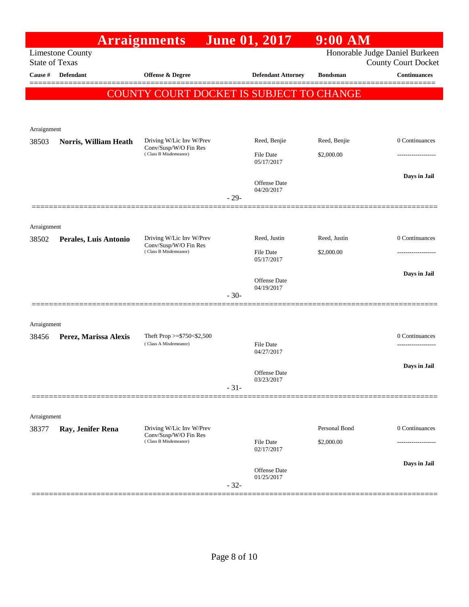|                      |                                                  | <b>Arraignments</b>                               |        | <b>June 01, 2017</b>       | $9:00$ AM       |                                                              |
|----------------------|--------------------------------------------------|---------------------------------------------------|--------|----------------------------|-----------------|--------------------------------------------------------------|
|                      | <b>Limestone County</b><br><b>State of Texas</b> |                                                   |        |                            |                 | Honorable Judge Daniel Burkeen<br><b>County Court Docket</b> |
| Cause #              | Defendant                                        | <b>Offense &amp; Degree</b>                       |        | <b>Defendant Attorney</b>  | <b>Bondsman</b> | <b>Continuances</b>                                          |
|                      |                                                  | COUNTY COURT DOCKET IS SUBJECT TO CHANGE          |        |                            |                 |                                                              |
|                      |                                                  |                                                   |        |                            |                 |                                                              |
| Arraignment          |                                                  |                                                   |        |                            |                 |                                                              |
| 38503                | Norris, William Heath                            | Driving W/Lic Inv W/Prev                          |        | Reed, Benjie               | Reed, Benjie    | 0 Continuances                                               |
|                      |                                                  | Conv/Susp/W/O Fin Res<br>(Class B Misdemeanor)    |        | <b>File Date</b>           | \$2,000.00      | .                                                            |
|                      |                                                  |                                                   |        | 05/17/2017                 |                 |                                                              |
|                      |                                                  |                                                   |        | Offense Date<br>04/20/2017 |                 | Days in Jail                                                 |
|                      |                                                  |                                                   | $-29-$ |                            |                 |                                                              |
|                      |                                                  |                                                   |        |                            |                 |                                                              |
| Arraignment          |                                                  |                                                   |        |                            |                 |                                                              |
| 38502                | Perales, Luis Antonio                            | Driving W/Lic Inv W/Prev<br>Conv/Susp/W/O Fin Res |        | Reed, Justin               | Reed, Justin    | 0 Continuances                                               |
|                      |                                                  | (Class B Misdemeanor)                             |        | File Date<br>05/17/2017    | \$2,000.00      | -------------------                                          |
|                      |                                                  |                                                   |        | Offense Date               |                 | Days in Jail                                                 |
|                      |                                                  |                                                   | $-30-$ | 04/19/2017                 |                 |                                                              |
|                      |                                                  |                                                   |        |                            |                 |                                                              |
| Arraignment          |                                                  |                                                   |        |                            |                 |                                                              |
| 38456                | Perez, Marissa Alexis                            | Theft Prop >= $$750<$2,500$                       |        |                            |                 | 0 Continuances                                               |
|                      |                                                  | (Class A Misdemeanor)                             |        | File Date<br>04/27/2017    |                 | -------------------                                          |
|                      |                                                  |                                                   |        |                            |                 | Days in Jail                                                 |
|                      |                                                  |                                                   |        | Offense Date<br>03/23/2017 |                 |                                                              |
|                      |                                                  |                                                   | $-31-$ |                            |                 |                                                              |
|                      |                                                  |                                                   |        |                            |                 |                                                              |
| Arraignment<br>38377 |                                                  | Driving W/Lic Inv W/Prev                          |        |                            | Personal Bond   | 0 Continuances                                               |
|                      | Ray, Jenifer Rena                                | Conv/Susp/W/O Fin Res<br>(Class B Misdemeanor)    |        | File Date                  | \$2,000.00      | .                                                            |
|                      |                                                  |                                                   |        | 02/17/2017                 |                 |                                                              |
|                      |                                                  |                                                   |        | Offense Date               |                 | Days in Jail                                                 |
|                      |                                                  |                                                   | $-32-$ | 01/25/2017                 |                 |                                                              |
|                      |                                                  |                                                   |        |                            |                 |                                                              |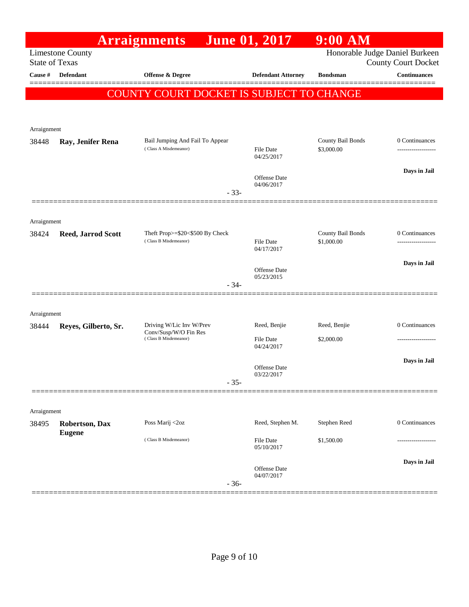|                       |                                 | <b>Arraignments</b>                                      | <b>June 01, 2017</b>           | $9:00$ AM                       |                                      |
|-----------------------|---------------------------------|----------------------------------------------------------|--------------------------------|---------------------------------|--------------------------------------|
| <b>State of Texas</b> | <b>Limestone County</b>         |                                                          |                                | Honorable Judge Daniel Burkeen  | <b>County Court Docket</b>           |
| Cause #               | Defendant                       | <b>Offense &amp; Degree</b>                              | <b>Defendant Attorney</b>      | <b>Bondsman</b>                 | Continuances                         |
|                       |                                 |                                                          |                                |                                 |                                      |
|                       |                                 | COUNTY COURT DOCKET IS SUBJECT TO CHANGE                 |                                |                                 |                                      |
|                       |                                 |                                                          |                                |                                 |                                      |
| Arraignment           |                                 |                                                          |                                |                                 |                                      |
| 38448                 | Ray, Jenifer Rena               | Bail Jumping And Fail To Appear<br>(Class A Misdemeanor) | File Date<br>04/25/2017        | County Bail Bonds<br>\$3,000.00 | 0 Continuances<br>------------------ |
|                       |                                 |                                                          |                                |                                 | Days in Jail                         |
|                       |                                 | $-33-$                                                   | Offense Date<br>04/06/2017     |                                 |                                      |
|                       |                                 |                                                          |                                |                                 |                                      |
| Arraignment           |                                 |                                                          |                                |                                 |                                      |
| 38424                 | <b>Reed, Jarrod Scott</b>       | Theft Prop>=\$20<\$500 By Check<br>(Class B Misdemeanor) |                                | County Bail Bonds               | 0 Continuances                       |
|                       |                                 |                                                          | File Date<br>04/17/2017        | \$1,000.00                      | -----------------                    |
|                       |                                 |                                                          | Offense Date                   |                                 | Days in Jail                         |
|                       |                                 | $-34-$                                                   | 05/23/2015                     |                                 |                                      |
|                       |                                 |                                                          |                                |                                 |                                      |
| Arraignment           |                                 |                                                          |                                |                                 |                                      |
| 38444                 | Reyes, Gilberto, Sr.            | Driving W/Lic Inv W/Prev<br>Conv/Susp/W/O Fin Res        | Reed, Benjie                   | Reed, Benjie                    | 0 Continuances                       |
|                       |                                 | (Class B Misdemeanor)                                    | <b>File Date</b><br>04/24/2017 | \$2,000.00                      | -------------------                  |
|                       |                                 |                                                          |                                |                                 | Days in Jail                         |
|                       |                                 |                                                          | Offense Date<br>03/22/2017     |                                 |                                      |
|                       |                                 | $-35-$                                                   |                                |                                 |                                      |
|                       |                                 |                                                          |                                |                                 |                                      |
| Arraignment           |                                 | Poss Marij <2oz                                          | Reed, Stephen M.               | Stephen Reed                    | 0 Continuances                       |
| 38495                 | Robertson, Dax<br><b>Eugene</b> |                                                          |                                |                                 |                                      |
|                       |                                 | (Class B Misdemeanor)                                    | File Date<br>05/10/2017        | \$1,500.00                      | -----------------                    |
|                       |                                 |                                                          |                                |                                 | Days in Jail                         |
|                       |                                 | $-36-$                                                   | Offense Date<br>04/07/2017     |                                 |                                      |